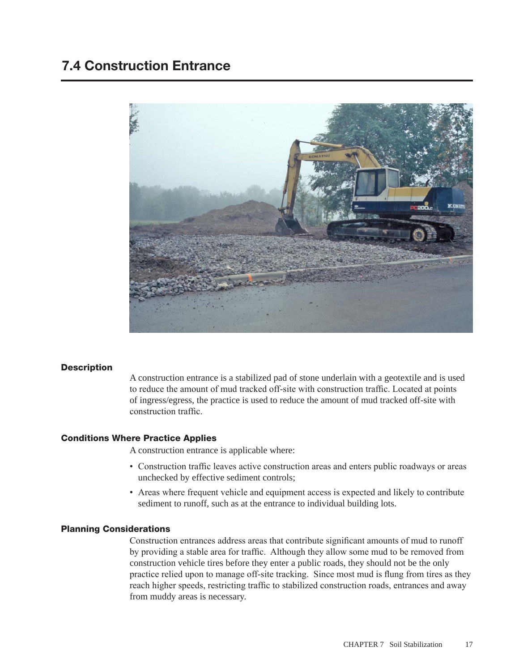# 7.4 Construction Entrance



#### **Description**

A construction entrance is a stabilized pad of stone underlain with a geotextile and is used to reduce the amount of mud tracked off-site with construction traffic. Located at points of ingress/egress, the practice is used to reduce the amount of mud tracked off-site with construction traffic.

#### Conditions Where Practice Applies

A construction entrance is applicable where:

- Construction traffic leaves active construction areas and enters public roadways or areas unchecked by effective sediment controls;
- Areas where frequent vehicle and equipment access is expected and likely to contribute sediment to runoff, such as at the entrance to individual building lots.

#### Planning Considerations

Construction entrances address areas that contribute significant amounts of mud to runoff by providing a stable area for traffic. Although they allow some mud to be removed from construction vehicle tires before they enter a public roads, they should not be the only practice relied upon to manage off-site tracking. Since most mud is flung from tires as they reach higher speeds, restricting traffic to stabilized construction roads, entrances and away from muddy areas is necessary.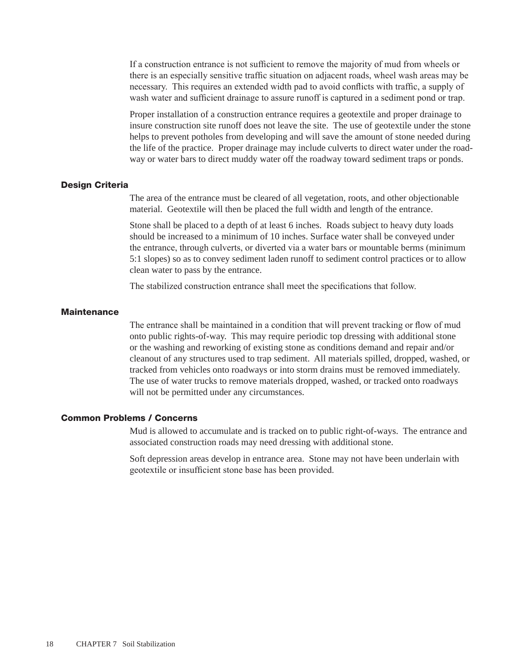If a construction entrance is not sufficient to remove the majority of mud from wheels or there is an especially sensitive traffic situation on adjacent roads, wheel wash areas may be necessary. This requires an extended width pad to avoid conflicts with traffic, a supply of wash water and sufficient drainage to assure runoff is captured in a sediment pond or trap.

Proper installation of a construction entrance requires a geotextile and proper drainage to insure construction site runoff does not leave the site. The use of geotextile under the stone helps to prevent potholes from developing and will save the amount of stone needed during the life of the practice. Proper drainage may include culverts to direct water under the roadway or water bars to direct muddy water off the roadway toward sediment traps or ponds.

#### Design Criteria

The area of the entrance must be cleared of all vegetation, roots, and other objectionable material. Geotextile will then be placed the full width and length of the entrance.

Stone shall be placed to a depth of at least 6 inches. Roads subject to heavy duty loads should be increased to a minimum of 10 inches. Surface water shall be conveyed under the entrance, through culverts, or diverted via a water bars or mountable berms (minimum 5:1 slopes) so as to convey sediment laden runoff to sediment control practices or to allow clean water to pass by the entrance.

The stabilized construction entrance shall meet the specifications that follow.

### **Maintenance**

The entrance shall be maintained in a condition that will prevent tracking or flow of mud onto public rights-of-way. This may require periodic top dressing with additional stone or the washing and reworking of existing stone as conditions demand and repair and/or cleanout of any structures used to trap sediment. All materials spilled, dropped, washed, or tracked from vehicles onto roadways or into storm drains must be removed immediately. The use of water trucks to remove materials dropped, washed, or tracked onto roadways will not be permitted under any circumstances.

#### Common Problems / Concerns

Mud is allowed to accumulate and is tracked on to public right-of-ways. The entrance and associated construction roads may need dressing with additional stone.

Soft depression areas develop in entrance area. Stone may not have been underlain with geotextile or insufficient stone base has been provided.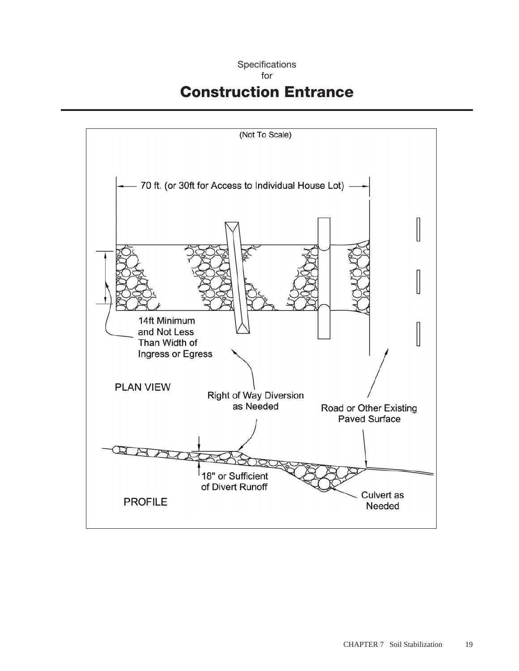## **Specifications**

## for

# Construction Entrance